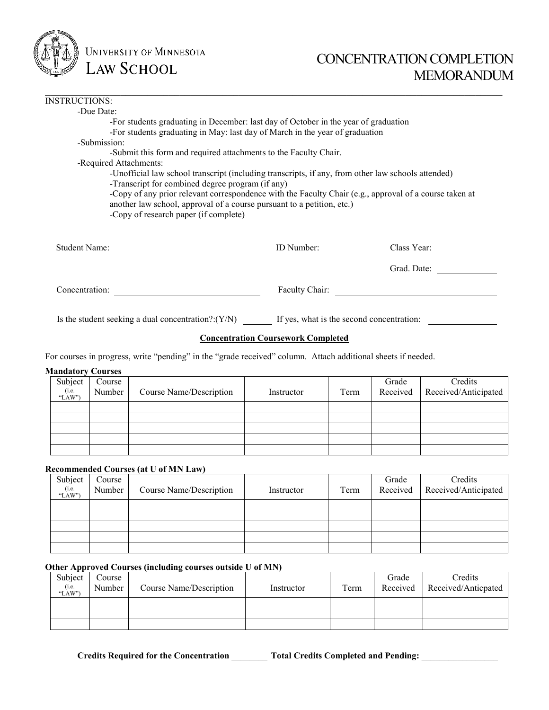

# CONCENTRATION COMPLETION MEMORANDUM

| <b>INSTRUCTIONS:</b>                                  |                                                                                                        |             |
|-------------------------------------------------------|--------------------------------------------------------------------------------------------------------|-------------|
| -Due Date:                                            |                                                                                                        |             |
|                                                       | -For students graduating in December: last day of October in the year of graduation                    |             |
|                                                       | -For students graduating in May: last day of March in the year of graduation                           |             |
| -Submission:                                          |                                                                                                        |             |
|                                                       | -Submit this form and required attachments to the Faculty Chair.                                       |             |
| -Required Attachments:                                |                                                                                                        |             |
|                                                       | -Unofficial law school transcript (including transcripts, if any, from other law schools attended)     |             |
| -Transcript for combined degree program (if any)      |                                                                                                        |             |
|                                                       | -Copy of any prior relevant correspondence with the Faculty Chair (e.g., approval of a course taken at |             |
|                                                       | another law school, approval of a course pursuant to a petition, etc.)                                 |             |
| -Copy of research paper (if complete)                 |                                                                                                        |             |
|                                                       |                                                                                                        |             |
|                                                       |                                                                                                        |             |
| <b>Student Name:</b>                                  | ID Number:                                                                                             | Class Year: |
|                                                       |                                                                                                        |             |
|                                                       |                                                                                                        | Grad. Date: |
|                                                       |                                                                                                        |             |
| Concentration:                                        | Faculty Chair:                                                                                         |             |
|                                                       |                                                                                                        |             |
|                                                       |                                                                                                        |             |
| Is the student seeking a dual concentration?: $(Y/N)$ | If yes, what is the second concentration:                                                              |             |

 $\_$ 

# **Concentration Coursework Completed**

For courses in progress, write "pending" in the "grade received" column. Attach additional sheets if needed.

# **Mandatory Courses**

| Subject<br>(i.e.<br>"LAW") | Course<br>Number | Course Name/Description | Instructor | Term | Grade<br>Received | Credits<br>Received/Anticipated |
|----------------------------|------------------|-------------------------|------------|------|-------------------|---------------------------------|
|                            |                  |                         |            |      |                   |                                 |
|                            |                  |                         |            |      |                   |                                 |
|                            |                  |                         |            |      |                   |                                 |
|                            |                  |                         |            |      |                   |                                 |
|                            |                  |                         |            |      |                   |                                 |

# **Recommended Courses (at U of MN Law)**

| Subject<br>(i.e.<br>"LAW") | Course<br>Number | Course Name/Description | Instructor | Term | Grade | Credits<br>Received   Received/Anticipated |
|----------------------------|------------------|-------------------------|------------|------|-------|--------------------------------------------|
|                            |                  |                         |            |      |       |                                            |
|                            |                  |                         |            |      |       |                                            |
|                            |                  |                         |            |      |       |                                            |
|                            |                  |                         |            |      |       |                                            |
|                            |                  |                         |            |      |       |                                            |

# **Other Approved Courses (including courses outside U of MN)**

| Subject<br>(i.e.<br>"LAW") | Course<br>Number | Course Name/Description | Instructor | Term | Grade<br>Received | Credits<br>Received/Anticpated |
|----------------------------|------------------|-------------------------|------------|------|-------------------|--------------------------------|
|                            |                  |                         |            |      |                   |                                |
|                            |                  |                         |            |      |                   |                                |
|                            |                  |                         |            |      |                   |                                |

**Credits Required for the Concentration** \_\_\_\_\_\_\_\_ **Total Credits Completed and Pending:** \_\_\_\_\_\_\_\_\_\_\_\_\_\_\_\_\_